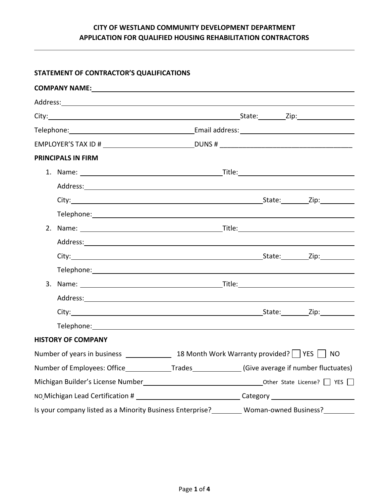### **STATEMENT OF CONTRACTOR'S QUALIFICATIONS**

|                                                                                                      | <b>PRINCIPALS IN FIRM</b>                                                                                                                                                                                                      |  |  |  |
|------------------------------------------------------------------------------------------------------|--------------------------------------------------------------------------------------------------------------------------------------------------------------------------------------------------------------------------------|--|--|--|
|                                                                                                      |                                                                                                                                                                                                                                |  |  |  |
|                                                                                                      |                                                                                                                                                                                                                                |  |  |  |
|                                                                                                      |                                                                                                                                                                                                                                |  |  |  |
|                                                                                                      | Telephone: www.astronomer.com/www.astronomer.com/www.astronomer.com/www.astronomer.com/                                                                                                                                        |  |  |  |
|                                                                                                      |                                                                                                                                                                                                                                |  |  |  |
|                                                                                                      |                                                                                                                                                                                                                                |  |  |  |
|                                                                                                      |                                                                                                                                                                                                                                |  |  |  |
|                                                                                                      |                                                                                                                                                                                                                                |  |  |  |
|                                                                                                      | 3. Name: Title: The Communication of the Communication of the Communication of the Communication of the Communication of the Communication of the Communication of the Communication of the Communication of the Communication |  |  |  |
|                                                                                                      |                                                                                                                                                                                                                                |  |  |  |
|                                                                                                      |                                                                                                                                                                                                                                |  |  |  |
|                                                                                                      | Telephone: The contract of the contract of the contract of the contract of the contract of the contract of the contract of the contract of the contract of the contract of the contract of the contract of the contract of the |  |  |  |
|                                                                                                      | <b>HISTORY OF COMPANY</b>                                                                                                                                                                                                      |  |  |  |
|                                                                                                      |                                                                                                                                                                                                                                |  |  |  |
| Number of Employees: Office_______________Trades_______________(Give average if number fluctuates)   |                                                                                                                                                                                                                                |  |  |  |
|                                                                                                      |                                                                                                                                                                                                                                |  |  |  |
| NO Michigan Lead Certification # __________________________________Category ________________________ |                                                                                                                                                                                                                                |  |  |  |
|                                                                                                      | Is your company listed as a Minority Business Enterprise?<br>Woman-owned Business?<br>Letter 2011                                                                                                                              |  |  |  |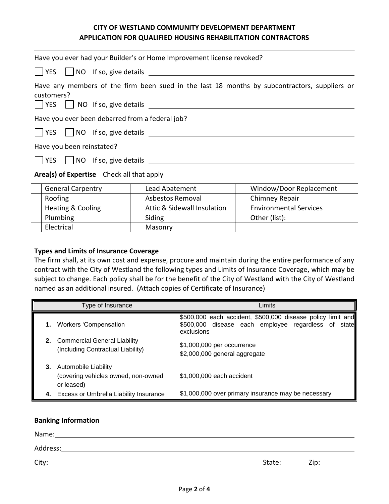| Have you ever had your Builder's or Home Improvement license revoked?                                                                                         |
|---------------------------------------------------------------------------------------------------------------------------------------------------------------|
|                                                                                                                                                               |
| Have any members of the firm been sued in the last 18 months by subcontractors, suppliers or<br>customers?<br>$\Box$ YES $\Box$ NO If so, give details $\Box$ |
| Have you ever been debarred from a federal job?                                                                                                               |
| $ $ $ $ YES $ $ $ $ NO If so, give details $\frac{1}{2}$                                                                                                      |
| Have you been reinstated?                                                                                                                                     |
|                                                                                                                                                               |
| Area(s) of Expertise Check all that apply                                                                                                                     |

| <b>General Carpentry</b> | Lead Abatement              | Window/Door Replacement       |
|--------------------------|-----------------------------|-------------------------------|
| Roofing                  | Asbestos Removal            | Chimney Repair                |
| Heating & Cooling        | Attic & Sidewall Insulation | <b>Environmental Services</b> |
| Plumbing                 | Siding                      | Other (list):                 |
| Electrical               | Masonry                     |                               |

### **Types and Limits of Insurance Coverage**

The firm shall, at its own cost and expense, procure and maintain during the entire performance of any contract with the City of Westland the following types and Limits of Insurance Coverage, which may be subject to change. Each policy shall be for the benefit of the City of Westland with the City of Westland named as an additional insured. (Attach copies of Certificate of Insurance)

| Type of Insurance                                                            | Limits                                                                                                                           |
|------------------------------------------------------------------------------|----------------------------------------------------------------------------------------------------------------------------------|
| 1. Workers 'Compensation                                                     | \$500,000 each accident, \$500,000 disease policy limit and<br>\$500,000 disease each employee regardless of state<br>exclusions |
| 2. Commercial General Liability<br>(Including Contractual Liability)         | \$1,000,000 per occurrence<br>\$2,000,000 general aggregate                                                                      |
| 3. Automobile Liability<br>(covering vehicles owned, non-owned<br>or leased) | \$1,000,000 each accident                                                                                                        |
| 4. Excess or Umbrella Liability Insurance                                    | \$1,000,000 over primary insurance may be necessary                                                                              |

#### **Banking Information**

| Name:    |        |      |
|----------|--------|------|
| Address: |        |      |
| City:    | State: | Zip: |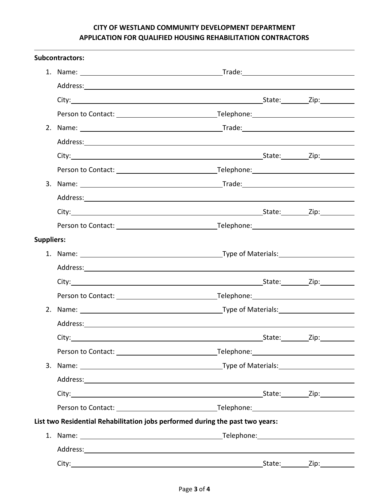|                   | <b>Subcontractors:</b>                                                        |        |        |
|-------------------|-------------------------------------------------------------------------------|--------|--------|
|                   |                                                                               |        |        |
|                   |                                                                               |        |        |
|                   |                                                                               |        |        |
|                   |                                                                               |        |        |
|                   |                                                                               |        |        |
|                   |                                                                               |        |        |
|                   |                                                                               |        |        |
|                   |                                                                               |        |        |
|                   |                                                                               |        |        |
|                   |                                                                               |        |        |
|                   |                                                                               |        |        |
|                   |                                                                               |        |        |
| <b>Suppliers:</b> |                                                                               |        |        |
|                   |                                                                               |        |        |
|                   |                                                                               |        |        |
|                   |                                                                               |        |        |
|                   |                                                                               |        |        |
|                   |                                                                               |        |        |
|                   |                                                                               |        |        |
|                   | City:                                                                         | State: | _Zip:_ |
|                   |                                                                               |        |        |
|                   |                                                                               |        |        |
|                   |                                                                               |        |        |
|                   |                                                                               |        |        |
|                   |                                                                               |        |        |
|                   | List two Residential Rehabilitation jobs performed during the past two years: |        |        |
|                   |                                                                               |        |        |
|                   |                                                                               |        |        |
|                   |                                                                               |        |        |